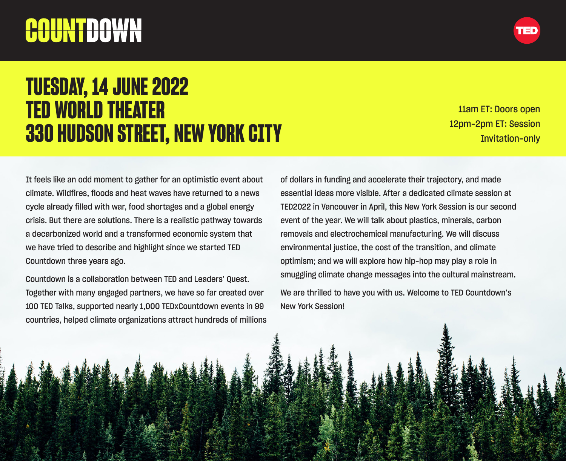# COUNTDOWN



11am ET: Doors open 12pm-2pm ET: Session Invitation-only

It feels like an odd moment to gather for an optimistic event about climate. Wildfires, floods and heat waves have returned to a news cycle already filled with war, food shortages and a global energy crisis. But there are solutions. There is a realistic pathway towards a decarbonized world and a transformed economic system that we have tried to describe and highlight since we started TED Countdown three years ago.

Countdown is a collaboration between TED and Leaders' Quest. Together with many engaged partners, we have so far created over 100 TED Talks, supported nearly 1,000 TEDxCountdown events in 99 countries, helped climate organizations attract hundreds of millions of dollars in funding and accelerate their trajectory, and made essential ideas more visible. After a dedicated climate session at TED2022 in Vancouver in April, this New York Session is our second event of the year. We will talk about plastics, minerals, carbon removals and electrochemical manufacturing. We will discuss environmental justice, the cost of the transition, and climate optimism; and we will explore how hip-hop may play a role in smuggling climate change messages into the cultural mainstream.

We are thrilled to have you with us. Welcome to TED Countdown's New York Session!